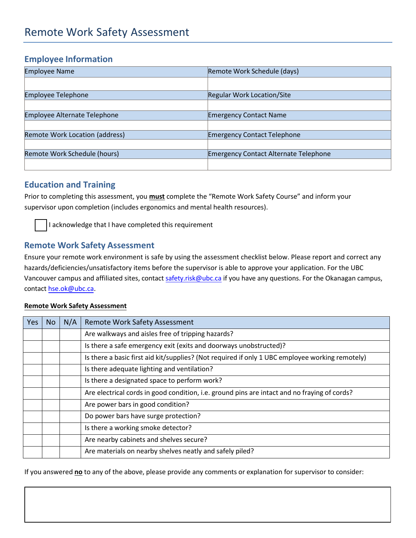### **Employee Information**

| Employee Name                       | Remote Work Schedule (days)                  |  |
|-------------------------------------|----------------------------------------------|--|
|                                     |                                              |  |
| <b>Employee Telephone</b>           | <b>Regular Work Location/Site</b>            |  |
|                                     |                                              |  |
| <b>Employee Alternate Telephone</b> | <b>Emergency Contact Name</b>                |  |
|                                     |                                              |  |
| Remote Work Location (address)      | <b>Emergency Contact Telephone</b>           |  |
|                                     |                                              |  |
| Remote Work Schedule (hours)        | <b>Emergency Contact Alternate Telephone</b> |  |
|                                     |                                              |  |

### **Education and Training**

Prior to completing this assessment, you **must** complete the "Remote Work Safety Course" and inform your supervisor upon completion (includes ergonomics and mental health resources).

I acknowledge that I have completed this requirement

#### **Remote Work Safety Assessment**

Ensure your remote work environment is safe by using the assessment checklist below. Please report and correct any hazards/deficiencies/unsatisfactory items before the supervisor is able to approve your application. For the UBC Vancouver campus and affiliated sites, contact [safety.risk@ubc.ca](mailto:safety.risk@ubc.ca) if you have any questions. For the Okanagan campus, contact [hse.ok@ubc.ca.](mailto:hse.ok@ubc.ca)

#### **Remote Work Safety Assessment**

| Yes | <b>No</b> | N/A | <b>Remote Work Safety Assessment</b>                                                            |  |
|-----|-----------|-----|-------------------------------------------------------------------------------------------------|--|
|     |           |     | Are walkways and aisles free of tripping hazards?                                               |  |
|     |           |     | Is there a safe emergency exit (exits and doorways unobstructed)?                               |  |
|     |           |     | Is there a basic first aid kit/supplies? (Not required if only 1 UBC employee working remotely) |  |
|     |           |     | Is there adequate lighting and ventilation?                                                     |  |
|     |           |     | Is there a designated space to perform work?                                                    |  |
|     |           |     | Are electrical cords in good condition, i.e. ground pins are intact and no fraying of cords?    |  |
|     |           |     | Are power bars in good condition?                                                               |  |
|     |           |     | Do power bars have surge protection?                                                            |  |
|     |           |     | Is there a working smoke detector?                                                              |  |
|     |           |     | Are nearby cabinets and shelves secure?                                                         |  |
|     |           |     | Are materials on nearby shelves neatly and safely piled?                                        |  |

If you answered **no** to any of the above, please provide any comments or explanation for supervisor to consider: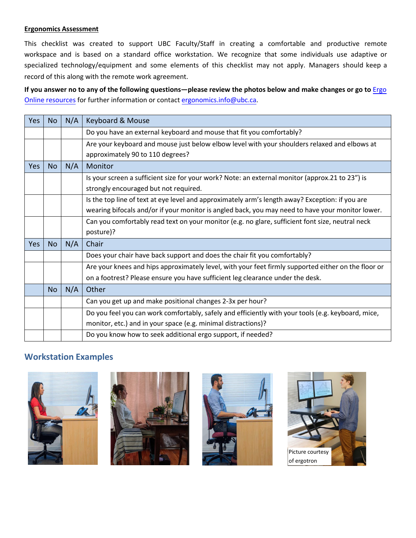#### **Ergonomics Assessment**

This checklist was created to support UBC Faculty/Staff in creating a comfortable and productive remote workspace and is based on a standard office workstation. We recognize that some individuals use adaptive or specialized technology/equipment and some elements of this checklist may not apply. Managers should keep a record of this along with the remote work agreement.

**If you answer no to any of the [following questions—please review the photos](https://hr.ubc.ca/health-and-wellbeing/ergonomics/office-ergonomics) below and make changes or go to** Ergo Online resources for further information or contact [ergonomics.info@ubc.ca.](mailto:ergonomics.info@ubc.ca)

| <b>Yes</b> | <b>No</b> | N/A | Keyboard & Mouse                                                                                    |  |
|------------|-----------|-----|-----------------------------------------------------------------------------------------------------|--|
|            |           |     | Do you have an external keyboard and mouse that fit you comfortably?                                |  |
|            |           |     | Are your keyboard and mouse just below elbow level with your shoulders relaxed and elbows at        |  |
|            |           |     | approximately 90 to 110 degrees?                                                                    |  |
| Yes        | <b>No</b> | N/A | Monitor                                                                                             |  |
|            |           |     | Is your screen a sufficient size for your work? Note: an external monitor (approx.21 to 23") is     |  |
|            |           |     | strongly encouraged but not required.                                                               |  |
|            |           |     | Is the top line of text at eye level and approximately arm's length away? Exception: if you are     |  |
|            |           |     | wearing bifocals and/or if your monitor is angled back, you may need to have your monitor lower.    |  |
|            |           |     | Can you comfortably read text on your monitor (e.g. no glare, sufficient font size, neutral neck    |  |
|            |           |     | posture)?                                                                                           |  |
| Yes        | <b>No</b> | N/A | Chair                                                                                               |  |
|            |           |     | Does your chair have back support and does the chair fit you comfortably?                           |  |
|            |           |     | Are your knees and hips approximately level, with your feet firmly supported either on the floor or |  |
|            |           |     | on a footrest? Please ensure you have sufficient leg clearance under the desk.                      |  |
|            | <b>No</b> | N/A | Other                                                                                               |  |
|            |           |     | Can you get up and make positional changes 2-3x per hour?                                           |  |
|            |           |     | Do you feel you can work comfortably, safely and efficiently with your tools (e.g. keyboard, mice,  |  |
|            |           |     | monitor, etc.) and in your space (e.g. minimal distractions)?                                       |  |
|            |           |     | Do you know how to seek additional ergo support, if needed?                                         |  |

# **Workstation Examples**